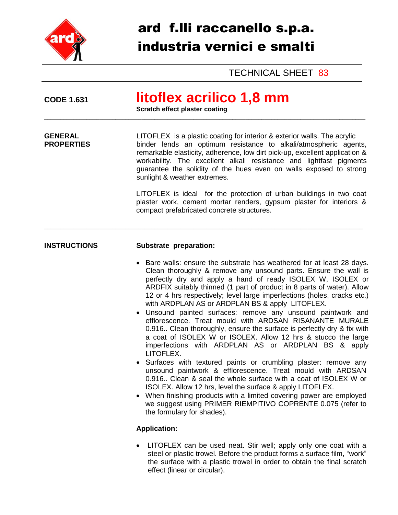

# ard f.lli raccanello s.p.a. industria vernici e smalti

TECHNICAL SHEET 83

## **CODE 1.631 litoflex acrilico 1,8 mm**

**Scratch effect plaster coating**

**GENERAL EXECTER EX** is a plastic coating for interior & exterior walls. The acrylic<br> **PROPERTIES EXECTER** binder lends an optimum resistance to alkali/atmospheric ager binder lends an optimum resistance to alkali/atmospheric agents, remarkable elasticity, adherence, low dirt pick-up, excellent application & workability. The excellent alkali resistance and lightfast pigments guarantee the solidity of the hues even on walls exposed to strong sunlight & weather extremes.

 $\_$  ,  $\_$  ,  $\_$  ,  $\_$  ,  $\_$  ,  $\_$  ,  $\_$  ,  $\_$  ,  $\_$  ,  $\_$  ,  $\_$  ,  $\_$  ,  $\_$  ,  $\_$  ,  $\_$  ,  $\_$  ,  $\_$  ,  $\_$  ,  $\_$  ,  $\_$  ,  $\_$  ,  $\_$  ,  $\_$  ,  $\_$  ,  $\_$  ,  $\_$  ,  $\_$  ,  $\_$  ,  $\_$  ,  $\_$  ,  $\_$  ,  $\_$  ,  $\_$  ,  $\_$  ,  $\_$  ,  $\_$  ,  $\_$  ,

\_\_\_\_\_\_\_\_\_\_\_\_\_\_\_\_\_\_\_\_\_\_\_\_\_\_\_\_\_\_\_\_\_\_\_\_\_\_\_\_\_\_\_\_\_\_\_\_\_\_\_\_\_\_\_\_\_\_\_\_\_\_\_\_\_\_\_\_\_\_\_\_\_\_\_\_\_\_\_\_\_\_\_\_\_\_\_\_\_\_\_\_\_\_\_\_\_\_\_

LITOFLEX is ideal for the protection of urban buildings in two coat plaster work, cement mortar renders, gypsum plaster for interiors & compact prefabricated concrete structures.

### **INSTRUCTIONS Substrate preparation:**

- Bare walls: ensure the substrate has weathered for at least 28 days. Clean thoroughly & remove any unsound parts. Ensure the wall is perfectly dry and apply a hand of ready ISOLEX W, ISOLEX or ARDFIX suitably thinned (1 part of product in 8 parts of water). Allow 12 or 4 hrs respectively; level large imperfections (holes, cracks etc.) with ARDPLAN AS or ARDPLAN BS & apply LITOFLEX.
- Unsound painted surfaces: remove any unsound paintwork and efflorescence. Treat mould with ARDSAN RISANANTE MURALE 0.916.. Clean thoroughly, ensure the surface is perfectly dry & fix with a coat of ISOLEX W or ISOLEX. Allow 12 hrs & stucco the large imperfections with ARDPLAN AS or ARDPLAN BS & apply LITOFLEX.
- Surfaces with textured paints or crumbling plaster: remove any unsound paintwork & efflorescence. Treat mould with ARDSAN 0.916.. Clean & seal the whole surface with a coat of ISOLEX W or ISOLEX. Allow 12 hrs, level the surface & apply LITOFLEX.
- When finishing products with a limited covering power are employed we suggest using PRIMER RIEMPITIVO COPRENTE 0.075 (refer to the formulary for shades).

### **Application:**

 LITOFLEX can be used neat. Stir well; apply only one coat with a steel or plastic trowel. Before the product forms a surface film, "work" the surface with a plastic trowel in order to obtain the final scratch effect (linear or circular).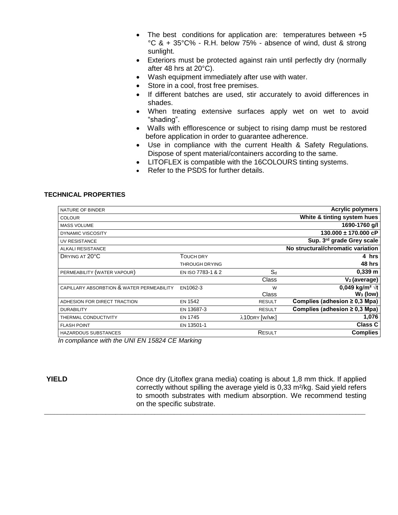- The best conditions for application are: temperatures between +5 °C & + 35°C% - R.H. below 75% - absence of wind, dust & strong sunlight.
- Exteriors must be protected against rain until perfectly dry (normally after 48 hrs at 20°C).
- Wash equipment immediately after use with water.
- Store in a cool, frost free premises.
- If different batches are used, stir accurately to avoid differences in shades.
- When treating extensive surfaces apply wet on wet to avoid "shading".
- Walls with efflorescence or subject to rising damp must be restored before application in order to guarantee adherence.
- Use in compliance with the current Health & Safety Regulations. Dispose of spent material/containers according to the same.
- LITOFLEX is compatible with the 16COLOURS tinting systems.
- Refer to the PSDS for further details.

#### **TECHNICAL PROPERTIES**

| NATURE OF BINDER                                                                                                                                                                                                                                                                                                                                            |                       |               | <b>Acrylic polymers</b>            |
|-------------------------------------------------------------------------------------------------------------------------------------------------------------------------------------------------------------------------------------------------------------------------------------------------------------------------------------------------------------|-----------------------|---------------|------------------------------------|
| <b>COLOUR</b>                                                                                                                                                                                                                                                                                                                                               |                       |               | White & tinting system hues        |
| <b>MASS VOLUME</b>                                                                                                                                                                                                                                                                                                                                          |                       |               | 1690-1760 g/l                      |
| <b>DYNAMIC VISCOSITY</b>                                                                                                                                                                                                                                                                                                                                    |                       |               | $130.000 \pm 170.000$ cP           |
| UV RESISTANCE                                                                                                                                                                                                                                                                                                                                               |                       |               | Sup. 3rd grade Grey scale          |
| ALKALI RESISTANCE                                                                                                                                                                                                                                                                                                                                           |                       |               | No structural/chromatic variation  |
| DRYING AT 20°C                                                                                                                                                                                                                                                                                                                                              | <b>TOUCH DRY</b>      |               | 4 hrs                              |
|                                                                                                                                                                                                                                                                                                                                                             | <b>THROUGH DRYING</b> |               | 48 hrs                             |
| PERMEABILITY (WATER VAPOUR)                                                                                                                                                                                                                                                                                                                                 | EN ISO 7783-1 & 2     | $S_d$         | $0,339 \; m$                       |
|                                                                                                                                                                                                                                                                                                                                                             |                       | Class         | $V2$ (average)                     |
| CAPILLARY ABSORBTION & WATER PERMEABILITY                                                                                                                                                                                                                                                                                                                   | EN1062-3              | W             | 0,049 kg/m <sup>2</sup> $\sqrt{t}$ |
|                                                                                                                                                                                                                                                                                                                                                             |                       | Class         | $W_3$ (low)                        |
| ADHESION FOR DIRECT TRACTION                                                                                                                                                                                                                                                                                                                                | <b>EN 1542</b>        | <b>RESULT</b> | Complies (adhesion $\geq$ 0,3 Mpa) |
| <b>DURABILITY</b>                                                                                                                                                                                                                                                                                                                                           | EN 13687-3            | <b>RESULT</b> | Complies (adhesion $\geq$ 0,3 Mpa) |
| THERMAL CONDUCTIVITY                                                                                                                                                                                                                                                                                                                                        | <b>EN 1745</b>        | λ10DRY [W/MK] | 1,076                              |
| <b>FLASH POINT</b>                                                                                                                                                                                                                                                                                                                                          | EN 13501-1            |               | <b>Class C</b>                     |
| <b>HAZARDOUS SUBSTANCES</b>                                                                                                                                                                                                                                                                                                                                 |                       | RESULT        | <b>Complies</b>                    |
| $\mathcal{L}$ $\mathcal{L}$ $\mathcal{L}$ $\mathcal{L}$ $\mathcal{L}$ $\mathcal{L}$ $\mathcal{L}$ $\mathcal{L}$ $\mathcal{L}$ $\mathcal{L}$ $\mathcal{L}$ $\mathcal{L}$ $\mathcal{L}$ $\mathcal{L}$ $\mathcal{L}$ $\mathcal{L}$ $\mathcal{L}$ $\mathcal{L}$ $\mathcal{L}$ $\mathcal{L}$ $\mathcal{L}$ $\mathcal{L}$ $\mathcal{L}$ $\mathcal{L}$ $\mathcal{$ |                       |               |                                    |

\_\_\_\_\_\_\_\_\_\_\_\_\_\_\_\_\_\_\_\_\_\_\_\_\_\_\_\_\_\_\_\_\_\_\_\_\_\_\_\_\_\_\_\_\_\_\_\_\_\_\_\_\_\_\_\_\_\_\_\_\_\_\_\_\_\_\_\_\_\_\_\_\_\_\_\_\_\_\_\_\_\_\_\_\_\_\_\_\_\_\_\_\_\_\_\_\_\_\_

*In compliance with the UNI EN 15824 CE Marking*

**YIELD** Once dry (Litoflex grana media) coating is about 1,8 mm thick. If applied correctly without spilling the average yield is 0,33 m²/kg. Said yield refers to smooth substrates with medium absorption. We recommend testing on the specific substrate.